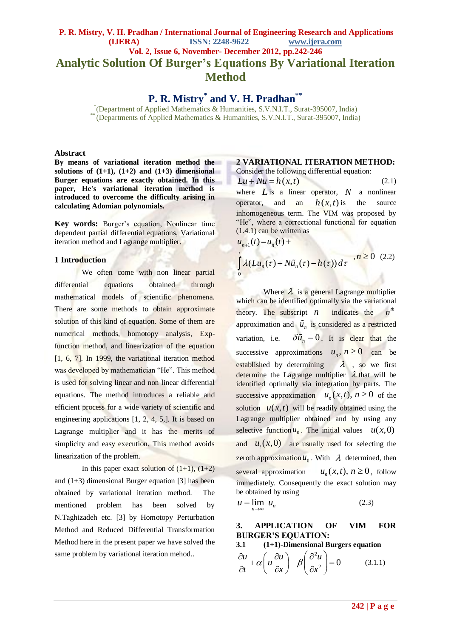## **P. R. Mistry, V. H. Pradhan / International Journal of Engineering Research and Applications (IJERA) ISSN: 2248-9622 www.ijera.com Vol. 2, Issue 6, November- December 2012, pp.242-246 Analytic Solution Of Burger's Equations By Variational Iteration Method**

**P. R. Mistry\* and V. H. Pradhan\*\***

\* (Department of Applied Mathematics & Humanities, S.V.N.I.T., Surat-395007, India) \*\* (Departments of Applied Mathematics & Humanities, S.V.N.I.T., Surat-395007, India)

 $\mathbf{0}$ 

#### **Abstract**

**By means of variational iteration method the**  solutions of  $(1+1)$ ,  $(1+2)$  and  $(1+3)$  dimensional **Burger equations are exactly obtained. In this paper, He's variational iteration method is introduced to overcome the difficulty arising in calculating Adomian polynomials.**

**Key words:** Burger's equation, Nonlinear time dependent partial differential equations, Variational iteration method and Lagrange multiplier.

#### **1 Introduction**

We often come with non linear partial differential equations obtained through mathematical models of scientific phenomena. There are some methods to obtain approximate solution of this kind of equation. Some of them are numerical methods, homotopy analysis, Expfunction method, and linearization of the equation [1, 6, 7]. In 1999, the variational iteration method was developed by mathematician "He". This method is used for solving linear and non linear differential equations. The method introduces a reliable and efficient process for a wide variety of scientific and engineering applications  $[1, 2, 4, 5]$ . It is based on Lagrange multiplier and it has the merits of simplicity and easy execution. This method avoids linearization of the problem.

In this paper exact solution of  $(1+1)$ ,  $(1+2)$ and (1+3) dimensional Burger equation [3] has been obtained by variational iteration method. The mentioned problem has been solved by N.Taghizadeh etc. [3] by Homotopy Perturbation Method and Reduced Differential Transformation Method here in the present paper we have solved the same problem by variational iteration mehod..

# **2 VARIATIONAL ITERATION METHOD:**

Consider the following differential equation:  $Lu + Nu = h(x, t)$  (2.1) where  $L$  is a linear operator,  $N$  a nonlinear operator, and an  $h(x,t)$  is the source inhomogeneous term. The VIM was proposed by "He", where a correctional functional for equation (1.4.1) can be written as  $(u_{n+1}^{(1,4,1)})$  can be written a<br> $u_{n+1}^{(t)}(t) = u_n(t) +$ 

 $\int_{0}^{t} \lambda(Lu_n(\tau) + N\tilde{u}_n(\tau) - h(\tau))$  $\int_A^t \lambda(Lu_n(\tau) + N\tilde{u}_n(\tau) - h(\tau)) d\tau$ <sup>n</sup>  $, n \ge 0$  (2.2)

Where  $\lambda$  is a general Lagrange multiplier which can be identified optimally via the variational theory. The subscript  $n$ *n* indicates the *th n* approximation and  $\tilde{u}_n$  is considered as a restricted variation, i.e.  $\delta \tilde{u}_n = 0$ . It is clear that the successive approximations  $u_n$ ,  $n \ge 0$  can be established by determining  $\lambda$ , so we first determine the Lagrange multiplier  $\lambda$  that will be identified optimally via integration by parts. The successive approximation  $u_n(x,t)$ ,  $n \ge 0$  of the solution  $u(x,t)$  will be readily obtained using the Lagrange multiplier obtained and by using any selective function  $u_0$ . The initial values  $u(x,0)$ and  $u_t(x,0)$  are usually used for selecting the zeroth approximation  $u_0$ . With  $\lambda$  determined, then several approximation  $u_n(x,t)$ ,  $n \ge 0$ , follow immediately. Consequently the exact solution may be obtained by using

$$
u = \lim_{n \to \infty} u_n \tag{2.3}
$$

## **3. APPLICATION OF VIM FOR BURGER'S EQUATION:**

3.1 (1+1)-Dimensional Burgers equation  
\n
$$
\frac{\partial u}{\partial t} + \alpha \left( u \frac{\partial u}{\partial x} \right) - \beta \left( \frac{\partial^2 u}{\partial x^2} \right) = 0
$$
\n(3.1.1)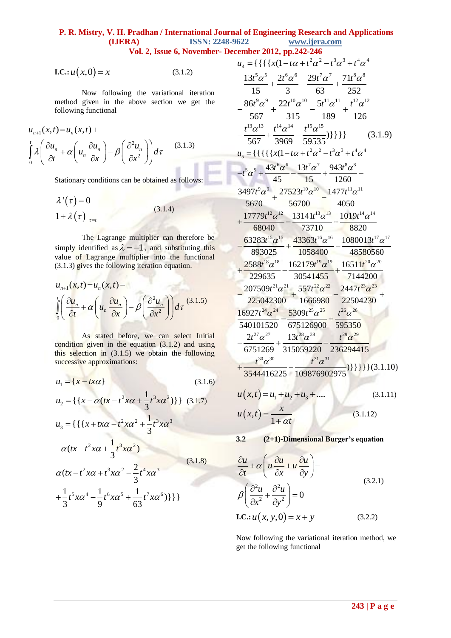## **P. R. Mistry, V. H. Pradhan / International Journal of Engineering Research and Applications ISSN: 2248-9622** www.ijera.com

Vol. 2, Issue 6, November- Dec

**I.C.**: 
$$
u(x,0) = x
$$
 (3.1.2)

Now following the variational iteration method given in the above section we get the following functional

$$
u_{n+1}(x,t) = u_n(x,t) +
$$
  
\n
$$
\int_0^t \lambda \left( \frac{\partial u_n}{\partial t} + \alpha \left( u_n \frac{\partial u_n}{\partial x} \right) - \beta \left( \frac{\partial^2 u_n}{\partial x^2} \right) \right) d\tau
$$
 (3.1.3)

Stationary conditions can be obtained as follows:

$$
\lambda'(\tau) = 0
$$
  
1 +  $\lambda(\tau)_{\tau=t}$  (3.1.4)

The Lagrange multiplier can therefore be simply identified as  $\lambda = -1$ , and substituting this value of Lagrange multiplier into the functional (3.1.3) gives the following iteration equation.

$$
u_{n+1}(x,t) = u_n(x,t) -
$$
  
\n
$$
\int_0^t \left( \frac{\partial u_n}{\partial t} + \alpha \left( u_n \frac{\partial u_n}{\partial x} \right) - \beta \left( \frac{\partial^2 u_n}{\partial x^2} \right) \right) d\tau
$$
 (3.1.5)

As stated before, we can select Initial condition given in the equation  $(3.1.2)$  and using this selection in (3.1.5) we obtain the following successive approximations:

$$
u_1 = \{x - tx\alpha\}
$$
\n
$$
(3.1.6)
$$
\n
$$
u_2 = \{\{x - \alpha(tx - t^2xa + \frac{1}{3}t^3xa^2)\}\}\ (3.1.7)
$$
\n
$$
u_3 = \{\{\{x + tx\alpha - t^2xa^2 + \frac{1}{3}t^3xa^3\} - \alpha(tx - t^2xa + t^3xa^2) - \frac{2}{3}t^4xa^3\}\
$$
\n
$$
u_4 = \frac{1}{3}t^3xa^2 - \frac{2}{3}t^4xa^3
$$
\n
$$
u_5 = \frac{1}{3}t^5xa^4 - \frac{1}{9}t^6xa^5 + \frac{1}{63}t^7xa^6\}\}
$$
\n
$$
(3.1.8)
$$

| ember 2012, pp.242-246                                                                                                                                                                                                        |
|-------------------------------------------------------------------------------------------------------------------------------------------------------------------------------------------------------------------------------|
| $u_4 = {\{\{\{\{x(1-t\alpha+t^2\alpha^2-t^3\alpha^3+t^4\alpha^4\}\)}\}$                                                                                                                                                       |
|                                                                                                                                                                                                                               |
| $\frac{13t^5\alpha^5}{15} + \frac{2t^6\alpha^6}{3} - \frac{29t^7\alpha^7}{63} + \frac{71t^8\alpha^8}{252}$                                                                                                                    |
|                                                                                                                                                                                                                               |
| $\frac{86t^9\alpha^9}{567} + \frac{22t^{10}\alpha^{10}}{315} - \frac{5t^{11}\alpha^{11}}{189} + \frac{t^{12}\alpha^{12}}{126}$                                                                                                |
|                                                                                                                                                                                                                               |
| $\frac{t^{13}\alpha^{13}}{567} + \frac{t^{14}\alpha^{14}}{3969} - \frac{t^{15}\alpha^{15}}{59535})\} \} \}$ (3.1.9)                                                                                                           |
| $u_5 = {\{\{\{\{\{\{x(1-t\alpha+t^2\alpha^2-t^3\alpha^3+t^4\alpha^4\}\}\)$                                                                                                                                                    |
|                                                                                                                                                                                                                               |
| $\begin{split} -t^5\alpha^5+\frac{43t^6\alpha^6}{45}-\frac{13t^7\alpha^7}{15}+\frac{943t^8\alpha^8}{1260}\\ \frac{3497t^9\alpha^9}{5670}+\frac{27523t^{10}\alpha^{10}}{56700}-\frac{1477t^{11}\alpha^{11}}{4050} \end{split}$ |
|                                                                                                                                                                                                                               |
|                                                                                                                                                                                                                               |
| $+\frac{17779t^{12}\alpha^{12}}{68040}-\frac{13141t^{13}\alpha^{13}}{73710}+\frac{1019t^{14}\alpha^{14}}{8820}$                                                                                                               |
|                                                                                                                                                                                                                               |
| $-\frac{63283t^{15}\alpha^{15}}{893025}+\frac{43363t^{16}\alpha^{16}}{1058400}-\frac{1080013t^{17}\alpha^{17}}{48580560}$                                                                                                     |
|                                                                                                                                                                                                                               |
| $+\frac{2588t^{18}\alpha^{18}}{229635}-\frac{162179t^{19}\alpha^{19}}{30541455}+\frac{16511t^{20}\alpha^{20}}{7144200}$                                                                                                       |
|                                                                                                                                                                                                                               |
| $-\frac{207509t^{21}\alpha^{21}}{225042300}+\frac{557t^{22}\alpha^{22}}{1666980}-\frac{2447t^{23}\alpha^{23}}{22504230}+$                                                                                                     |
|                                                                                                                                                                                                                               |
| $\frac{16927t^{24}\alpha^{24}}{540101520} - \frac{5309t^{25}\alpha^{25}}{675126900} + \frac{t^{26}\alpha^{26}}{595350}$                                                                                                       |
|                                                                                                                                                                                                                               |
| $2t^{27}\alpha^{27}$ $13t^{28}\alpha^{28}$ $t^{29}\alpha^{29}$<br>$\frac{24}{6751269} + \frac{134}{315059220} - \frac{14}{236294415}$                                                                                         |
|                                                                                                                                                                                                                               |
| $\frac{t^{30}\alpha^{30}}{3544416225}-\frac{t^{31}\alpha^{31}}{109876902975})\}\{\}\}\}(3.1.10)$                                                                                                                              |
|                                                                                                                                                                                                                               |
| $u(x,t) = u_1 + u_2 + u_3 + \dots$<br>(3.1.11)                                                                                                                                                                                |

$$
u(x,t) = \frac{x}{1 + \alpha t}
$$
 (3.1.12)

3.2 
$$
(2+1)
$$
-Dimensional Burger's equation

$$
\frac{\partial u}{\partial t} + \alpha \left( u \frac{\partial u}{\partial x} + u \frac{\partial u}{\partial y} \right) -
$$
\n
$$
\beta \left( \frac{\partial^2 u}{\partial x^2} + \frac{\partial^2 u}{\partial y^2} \right) = 0
$$
\n1.C.:  $u(x, y, 0) = x + y$  (3.2.2)

Now following the variational iteration method, we get the following functional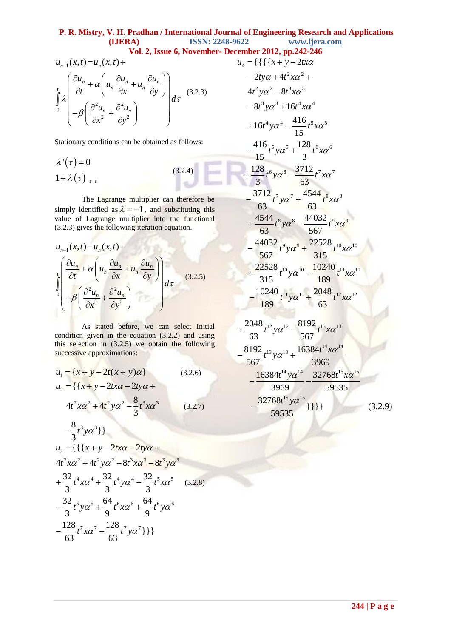#### **P. R. Mistry, V. H. Pradhan / International Journal of Engineering Research and Applications (IJERA) ISSN: 2248-9622 www.ijera.com**

**Vol. 2, Issue 6, November- December 2012, pp.242-246**<br> $u_4 = \{ \{ \{ \{x + y - 2tx\alpha\} \}$ 

**Vol. 2, Issue 6, November**  
\n
$$
u_{n+1}(x,t) = u_n(x,t) +
$$
\n
$$
\int_{0}^{t} \lambda \left( \frac{\partial u_n}{\partial t} + \alpha \left( u_n \frac{\partial u_n}{\partial x} + u_n \frac{\partial u_n}{\partial y} \right) \right) d\tau
$$
\n
$$
-\beta \left( \frac{\partial^2 u_n}{\partial x^2} + \frac{\partial^2 u_n}{\partial y^2} \right)
$$
\n(3.2.3)

Stationary conditions can be obtained as follows:

$$
\lambda'(\tau) = 0
$$
\n
$$
1 + \lambda(\tau)_{\tau=t}
$$
\n(3.2.4)

The Lagrange multiplier can therefore be simply identified as  $\lambda = -1$ , and substituting this value of Lagrange multiplier into the functional (3.2.3) gives the following iteration equation.

$$
u_{n+1}(x,t) = u_n(x,t) -
$$
  
\n
$$
\int_{0}^{t} \left( \frac{\partial u_n}{\partial t} + \alpha \left( u_n \frac{\partial u_n}{\partial x} + u_n \frac{\partial u_n}{\partial y} \right) \right) d\tau
$$
\n(3.2.5)  
\n
$$
-\beta \left( \frac{\partial^2 u_n}{\partial x^2} + \frac{\partial^2 u_n}{\partial y^2} \right)
$$

As stated before, we can select Initial condition given in the equation  $(3.2.2)$  and using this selection in (3.2.5) we obtain the following successive approximations:

$$
u_1 = \{x + y - 2t(x + y)\alpha\}
$$
 (3.2.6)  

$$
u_2 = \{\{x + y - 2tx\alpha - 2ty\alpha + y\}\}
$$

$$
4t^2x\alpha^2 + 4t^2y\alpha^2 - \frac{8}{3}t^3x\alpha^3
$$
 (3.2.7)

$$
-\frac{8}{3}t^3ya^3\}
$$
  
\n
$$
u_3 = \{\{\{x + y - 2tx\alpha - 2ty\alpha + 4t^2xa^2 + 4t^2ya^2 - 8t^3xa^3 - 8t^3ya^3 + \frac{32}{3}t^4xa^4 + \frac{32}{3}t^4ya^4 - \frac{32}{3}t^5xa^5 + \frac{32}{9}t^5xa^5 + \frac{64}{9}t^6xa^6 + \frac{64}{9}t^6ya^6 + \frac{128}{63}t^7xa^7 - \frac{128}{63}t^7ya^7\}\}
$$

$$
u_4 = \{ \{ \{ \{x + y - 2tx\alpha
$$
  
\n
$$
-2ty\alpha + 4t^2x\alpha^2 +
$$
  
\n
$$
4t^2y\alpha^2 - 8t^3x\alpha^3
$$
  
\n
$$
-8t^3y\alpha^3 + 16t^4x\alpha^4
$$
  
\n
$$
+16t^4y\alpha^4 - \frac{416}{15}t^5x\alpha^5
$$
  
\n
$$
-\frac{416}{15}t^5y\alpha^5 + \frac{128}{3}t^6x\alpha^6
$$
  
\n
$$
+\frac{128}{3}t^6y\alpha^6 - \frac{3712}{63}t^7x\alpha^7
$$
  
\n
$$
-\frac{3712}{63}t^7y\alpha^7 + \frac{4544}{63}t^8x\alpha^8
$$
  
\n
$$
+\frac{4544}{63}t^8y\alpha^8 - \frac{44032}{567}t^9x\alpha^9
$$
  
\n
$$
-\frac{44032}{567}t^9y\alpha^9 + \frac{22528}{315}t^{10}x\alpha^{10}
$$
  
\n
$$
+\frac{22528}{315}t^{10}y\alpha^{10} - \frac{10240}{189}t^{11}x\alpha^{11}
$$
  
\n
$$
-\frac{10240}{189}t^{11}y\alpha^{11} + \frac{2048}{63}t^{12}x\alpha^{12}
$$
  
\n
$$
+\frac{8192}{63}t^{12}y\alpha^{12} - \frac{8192}{567}t^{13}x\alpha^{13}
$$
  
\n
$$
-\frac{8192}{567}t^{13}y\alpha^{13} + \frac{16384t^{14}x\alpha^{14}}{3969}
$$
  
\n
$$
+\frac{16384t^{14}y\alpha^{14}}{3969} - \frac{32768t^{15}x\alpha^{15}}{59535}
$$
  
\n
$$
-\frac{32768t^{15}y\alpha^{15}}{5
$$

59535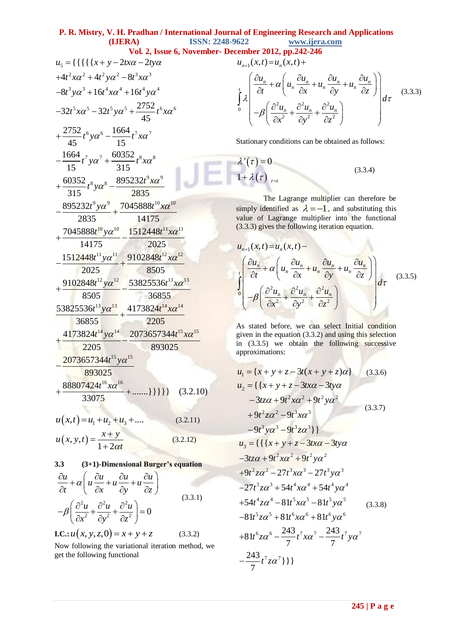#### **P. R. Mistry, V. H. Pradhan / International Journal of Engineering Research and Applications (IJERA) ISSN: 2248-9622 www.ijera.com**

**Vol. 2, Issue 6, November- December 2012, pp.242-246** 

5 2 2 2 2 3 3 3 3 4 4 4 4 5 5 5 5 6 6 6 6 7 7 7 7 8 8 9 9 8 8 9 9 10 {{{{{ 2 2 448 8 16 16 <sup>2752</sup> 32 32 45 2752 1664 45 15 1664 60352 15 315 60352 895232 315 2835 895232 7045888 2835 *u x y tx ty t x t y t x t y t x t y t x t y t x t y t x t y t x t x t y t y t* 10 10 10 11 11 11 11 12 12 12 12 13 13 13 13 14 14 14 14 15 14175 7045888 1512448 14175 2025 1512448 9102848 2025 8505 9102848 53825536 8505 36855 53825536 4173824 36855 2205 4173824 2073657344 2205 *x t y t x t y t x t y t x t y t x t y t x* 15 15 15 16 16 893025 2073657344 893025 <sup>88807424</sup> .......}}}}} (3.2.10) 33075 *t y t x* 1 2 3 *u x t u u u* , .... (3.2.11)

$$
u(x, y, t) = \frac{x + y}{1 + 2\alpha t}
$$
 (3.2.12)

3.3 (3+1)-Dimensional Burger's equation  
\n
$$
\frac{\partial u}{\partial t} + \alpha \left( u \frac{\partial u}{\partial x} + u \frac{\partial u}{\partial y} + u \frac{\partial u}{\partial z} \right)
$$
\n(3.3)

$$
-\beta \left( \frac{\partial^2 u}{\partial x^2} + \frac{\partial^2 u}{\partial y^2} + \frac{\partial^2 u}{\partial z^2} \right) = 0
$$
\n(3.3.1)

**I.C.**: 
$$
u(x, y, z, 0) = x + y + z
$$
 (3.3.2)

Now following the variational iteration method, we get the following functional

$$
\sum_{i=1}^{n} \frac{1}{2} \frac{1}{2} \left( \frac{2u_n}{\partial t} + \alpha \left( u_n \frac{\partial u_n}{\partial x} + u_n \frac{\partial u_n}{\partial y} + u_n \frac{\partial u_n}{\partial z} \right) \right) d\tau
$$
\n
$$
= \int_0^t \lambda \left( \frac{\partial u_n}{\partial t} + \alpha \left( u_n \frac{\partial u_n}{\partial x} + u_n \frac{\partial u_n}{\partial y} + u_n \frac{\partial u_n}{\partial z} \right) \right) d\tau \tag{3.3.3}
$$

Stationary conditions can be obtained as follows:

$$
\lambda'(\tau) = 0
$$
  
1 +  $\lambda(\tau)_{\tau=t}$  (3.3.4)

The Lagrange multiplier can therefore be simply identified as  $\lambda = -1$ , and substituting this value of Lagrange multiplier into the functional

(3.3.3) gives the following iteration equation.  
\n
$$
u_{n+1}(x,t) = u_n(x,t) -
$$
\n
$$
\int_0^t \left( \frac{\partial u_n}{\partial t} + \alpha \left( u_n \frac{\partial u_n}{\partial x} + u_n \frac{\partial u_n}{\partial y} + u_n \frac{\partial u_n}{\partial z} \right) \right) d\tau
$$
\n(3.3.5)\n
$$
-\beta \left( \frac{\partial^2 u_n}{\partial x^2} + \frac{\partial^2 u_n}{\partial y^2} + \frac{\partial^2 u_n}{\partial z^2} \right)
$$

As stated before, we can select Initial condition given in the equation (3.3.2) and using this selection in (3.3.5) we obtain the following successive approximations:

$$
u_{1} = \{x + y + z - 3t(x + y + z)\alpha\}
$$
 (3.3.6)  
\n
$$
u_{2} = \{\{x + y + z - 3tx\alpha - 3ty\alpha
$$
  
\n
$$
-3tz\alpha + 9t^{2}x\alpha^{2} + 9t^{2}y\alpha^{2}
$$
  
\n
$$
+9t^{2}z\alpha^{2} - 9t^{3}x\alpha^{3}
$$
  
\n
$$
-9t^{3}y\alpha^{3} - 9t^{3}z\alpha^{3}\}
$$
  
\n
$$
u_{3} = \{\{\{x + y + z - 3tx\alpha - 3ty\alpha
$$
  
\n
$$
-3tz\alpha + 9t^{2}x\alpha^{2} + 9t^{2}y\alpha^{2}
$$
  
\n
$$
+9t^{2}z\alpha^{2} - 27t^{3}x\alpha^{3} - 27t^{3}y\alpha^{3}
$$
  
\n
$$
-27t^{3}z\alpha^{3} + 54t^{4}x\alpha^{4} + 54t^{4}y\alpha^{4}
$$
  
\n
$$
+54t^{4}z\alpha^{4} - 81t^{5}x\alpha^{5} - 81t^{5}y\alpha^{5}
$$
  
\n
$$
-81t^{5}z\alpha^{5} + 81t^{6}x\alpha^{6} + 81t^{6}y\alpha^{6}
$$
  
\n
$$
+81t^{6}z\alpha^{6} - \frac{243}{7}t^{7}x\alpha^{7} - \frac{243}{7}t^{7}y\alpha^{7}
$$
  
\n
$$
-\frac{243}{7}t^{7}z\alpha^{7}\}
$$